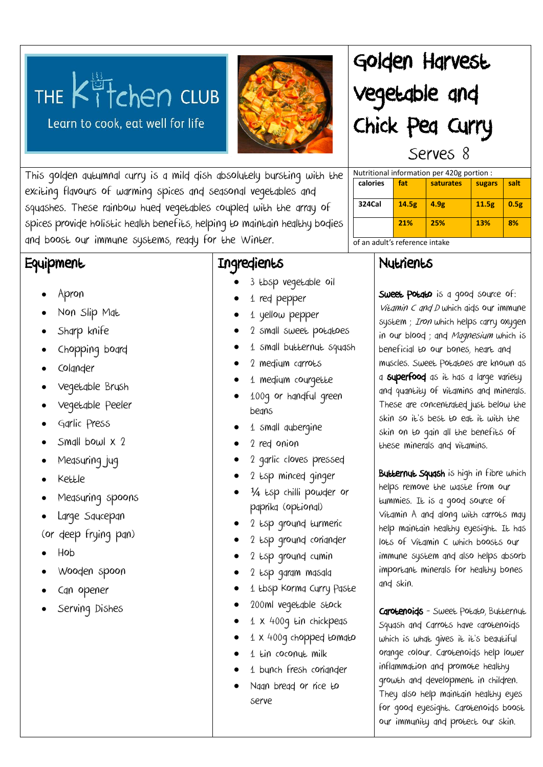# THE  $K^{\text{B}}$  T chen CLUB

Learn to cook, eat well for life



## Golden Harvest Vegetable and Chick Pea Curry Serves 8

Nutritional information per 420g portion :

**calories fat saturates sugars salt**

**324Cal 14.5g 4.9g 11.5g 0.5g**

**21% 25% 13% 8%**

This golden autumnal curry is a mild dish absolutely bursting with the exciting flavours of warming spices and seasonal vegetables and squashes. These rainbow hued vegetables coupled with the array of spices provide holistic health benefits, helping to maintain healthy bodies and boost our immune systems, ready for the Winter.

#### **Equipment**

- Apron
- Non Slip Mat
- Sharp knife
- Chopping board
- Colander
- Vegetable Brush
- Vegetable Peeler
- Garlic Press
- Small bowl x 2
- Measuring jug
- Kettle
- Measuring spoons
- Large Saucepan
- (or deep frying pan)
- Hob
- Wooden spoon
- Can opener
- Serving Dishes

#### Ingredients

- 3 tbsp vegetable oil
	- 1 red pepper
- 1 yellow pepper
- 2 small sweet potatoes
- 1 small butternut squash
- 2 medium carrots
- 1 medium courgette
- 100g or handful green beans
- 1 small aubergine
- 2 red onion
- 2 garlic cloves pressed
- 2 tsp minced ginger
- ¼ tsp chilli powder or paprika (optional)
- 2 tsp ground turmeric
- 2 tsp ground coriander
- 2 tsp ground cumin
- 2 tsp garam masala
- 1 tbsp Korma Curry Paste
- 200ml vegetable stock
- 1 x 400g tin chickpeas
- 1 x 400g chopped tomato
- 1 tin coconut milk
- 1 bunch fresh coriander
- Naan bread or rice to serve

### **Nutrients**

of an adult's reference intake

Sweet Potato is a good source of: Vitamin  $C$  and  $D$  which gids our immune system; Iron which helps carry oxygen in our blood; and Magnesium which is beneficial to our bones, heart and muscles. Sweet Potatoes are known as a superfood as it has a large variety and quantity of vitamins and minerals. These are concentrated just below the skin so it's best to eat it with the skin on to gain all the benefits of these minerals and vitamins.

Butternut Squash is high in fibre which helps remove the waste from our tummies. It is a good source of Vitamin A and along with carrots may help maintain healthy eyesight. It has lots of Vitamin C which boosts our immune system and also helps absorb important minerals for healthy bones and skin.

Carotenoids - Sweet Potato, Butternut Squash and Carrots have carotenoids which is what gives it it's beautiful orange colour. Carotenoids help lower inflammation and promote healthy growth and development in children. They also help maintain healthy eyes for good eyesight. Carotenoids boost our immunity and protect our skin.